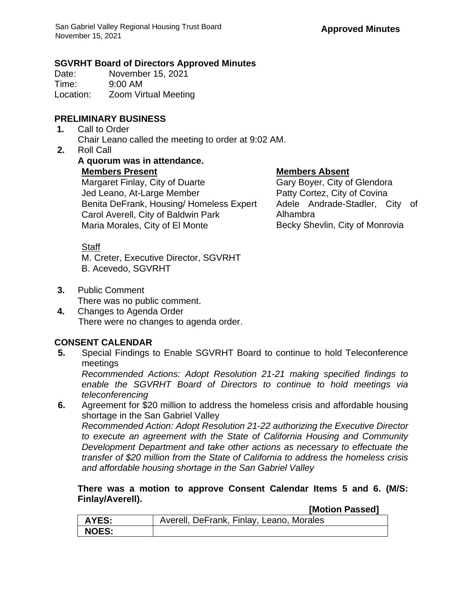### **SGVRHT Board of Directors Approved Minutes**

Date: November 15, 2021 Time: 9:00 AM Location: Zoom Virtual Meeting

## **PRELIMINARY BUSINESS**

- **1.** Call to Order Chair Leano called the meeting to order at 9:02 AM.
- **2.** Roll Call
	- **A quorum was in attendance. Members Present Members Absent** Margaret Finlay, City of Duarte Gary Boyer, City of Glendora Jed Leano, At-Large Member Patty Cortez, City of Covina Benita DeFrank, Housing/ Homeless Expert Carol Averell, City of Baldwin Park Maria Morales, City of El Monte

Adele Andrade-Stadler, City of Alhambra Becky Shevlin, City of Monrovia

# **Staff**

M. Creter, Executive Director, SGVRHT B. Acevedo, SGVRHT

- **3.** Public Comment There was no public comment.
- **4.** Changes to Agenda Order There were no changes to agenda order.

# **CONSENT CALENDAR**

**5.** Special Findings to Enable SGVRHT Board to continue to hold Teleconference meetings

*Recommended Actions: Adopt Resolution 21-21 making specified findings to enable the SGVRHT Board of Directors to continue to hold meetings via teleconferencing*

**6.** Agreement for \$20 million to address the homeless crisis and affordable housing shortage in the San Gabriel Valley *Recommended Action: Adopt Resolution 21-22 authorizing the Executive Director to execute an agreement with the State of California Housing and Community Development Department and take other actions as necessary to effectuate the* 

*transfer of \$20 million from the State of California to address the homeless crisis and affordable housing shortage in the San Gabriel Valley* 

#### **There was a motion to approve Consent Calendar Items 5 and 6. (M/S: Finlay/Averell). [Motion Passed]**

|              | <b>INULIUII FASSEUI</b>                  |
|--------------|------------------------------------------|
| <b>AYES:</b> | Averell, DeFrank, Finlay, Leano, Morales |
| <b>NOES:</b> |                                          |